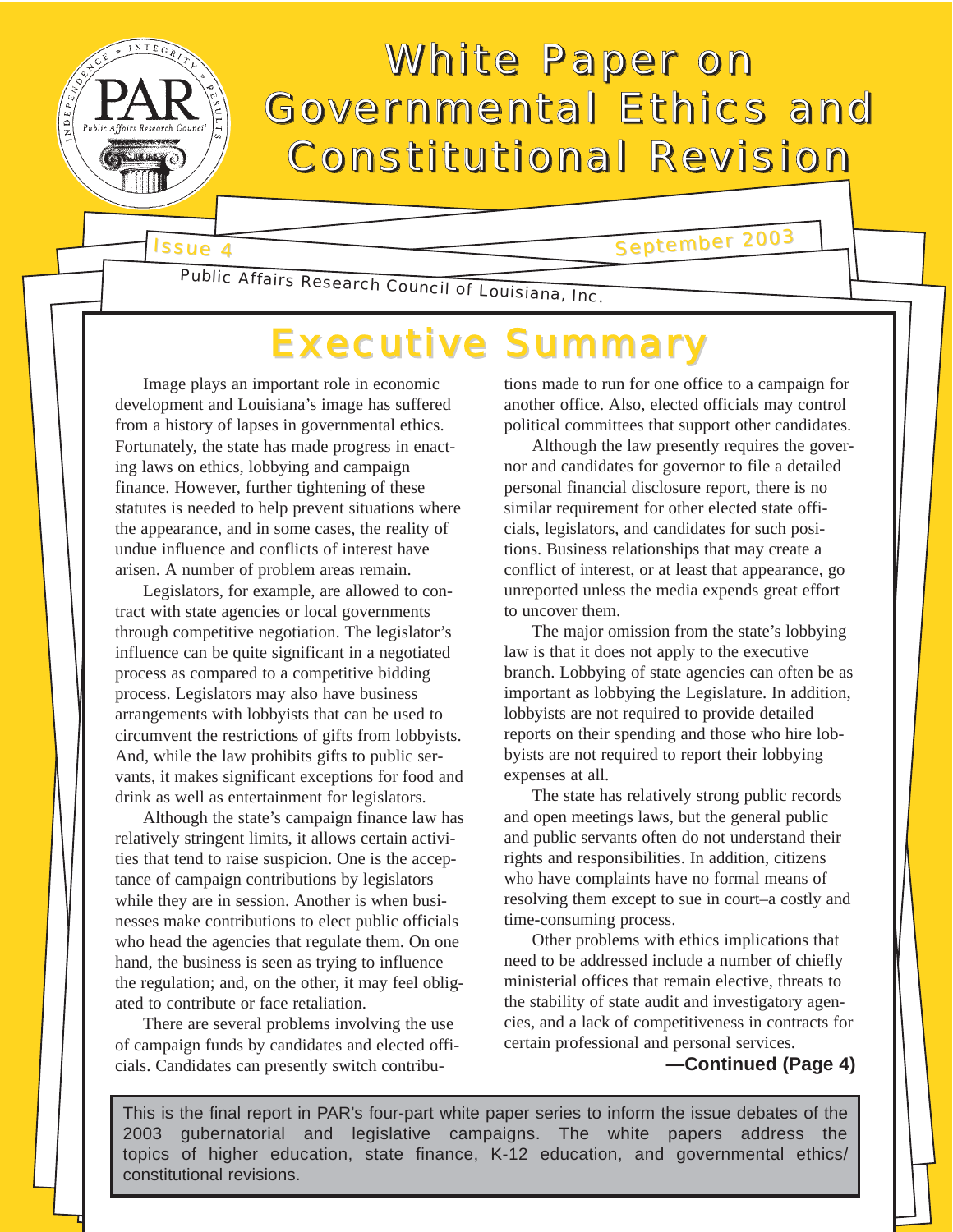# White Paper on Governmental Ethics and Constitutional Revision

Issue 4

September 2003

Public Affairs Research Council of Louisiana, Inc.

# Executive Summary

Image plays an important role in economic development and Louisiana's image has suffered from a history of lapses in governmental ethics. Fortunately, the state has made progress in enacting laws on ethics, lobbying and campaign finance. However, further tightening of these statutes is needed to help prevent situations where the appearance, and in some cases, the reality of undue influence and conflicts of interest have arisen. A number of problem areas remain.

Legislators, for example, are allowed to contract with state agencies or local governments through competitive negotiation. The legislator's influence can be quite significant in a negotiated process as compared to a competitive bidding process. Legislators may also have business arrangements with lobbyists that can be used to circumvent the restrictions of gifts from lobbyists. And, while the law prohibits gifts to public servants, it makes significant exceptions for food and drink as well as entertainment for legislators.

Although the state's campaign finance law has relatively stringent limits, it allows certain activities that tend to raise suspicion. One is the acceptance of campaign contributions by legislators while they are in session. Another is when businesses make contributions to elect public officials who head the agencies that regulate them. On one hand, the business is seen as trying to influence the regulation; and, on the other, it may feel obligated to contribute or face retaliation.

There are several problems involving the use of campaign funds by candidates and elected officials. Candidates can presently switch contribu-

tions made to run for one office to a campaign for another office. Also, elected officials may control political committees that support other candidates.

Although the law presently requires the governor and candidates for governor to file a detailed personal financial disclosure report, there is no similar requirement for other elected state officials, legislators, and candidates for such positions. Business relationships that may create a conflict of interest, or at least that appearance, go unreported unless the media expends great effort to uncover them.

The major omission from the state's lobbying law is that it does not apply to the executive branch. Lobbying of state agencies can often be as important as lobbying the Legislature. In addition, lobbyists are not required to provide detailed reports on their spending and those who hire lobbyists are not required to report their lobbying expenses at all.

The state has relatively strong public records and open meetings laws, but the general public and public servants often do not understand their rights and responsibilities. In addition, citizens who have complaints have no formal means of resolving them except to sue in court–a costly and time-consuming process.

Other problems with ethics implications that need to be addressed include a number of chiefly ministerial offices that remain elective, threats to the stability of state audit and investigatory agencies, and a lack of competitiveness in contracts for certain professional and personal services.

**—Continued (Page 4)**

This is the final report in PAR's four-part white paper series to inform the issue debates of the 2003 gubernatorial and legislative campaigns. The white papers address the topics of higher education, state finance, K-12 education, and governmental ethics/ constitutional revisions.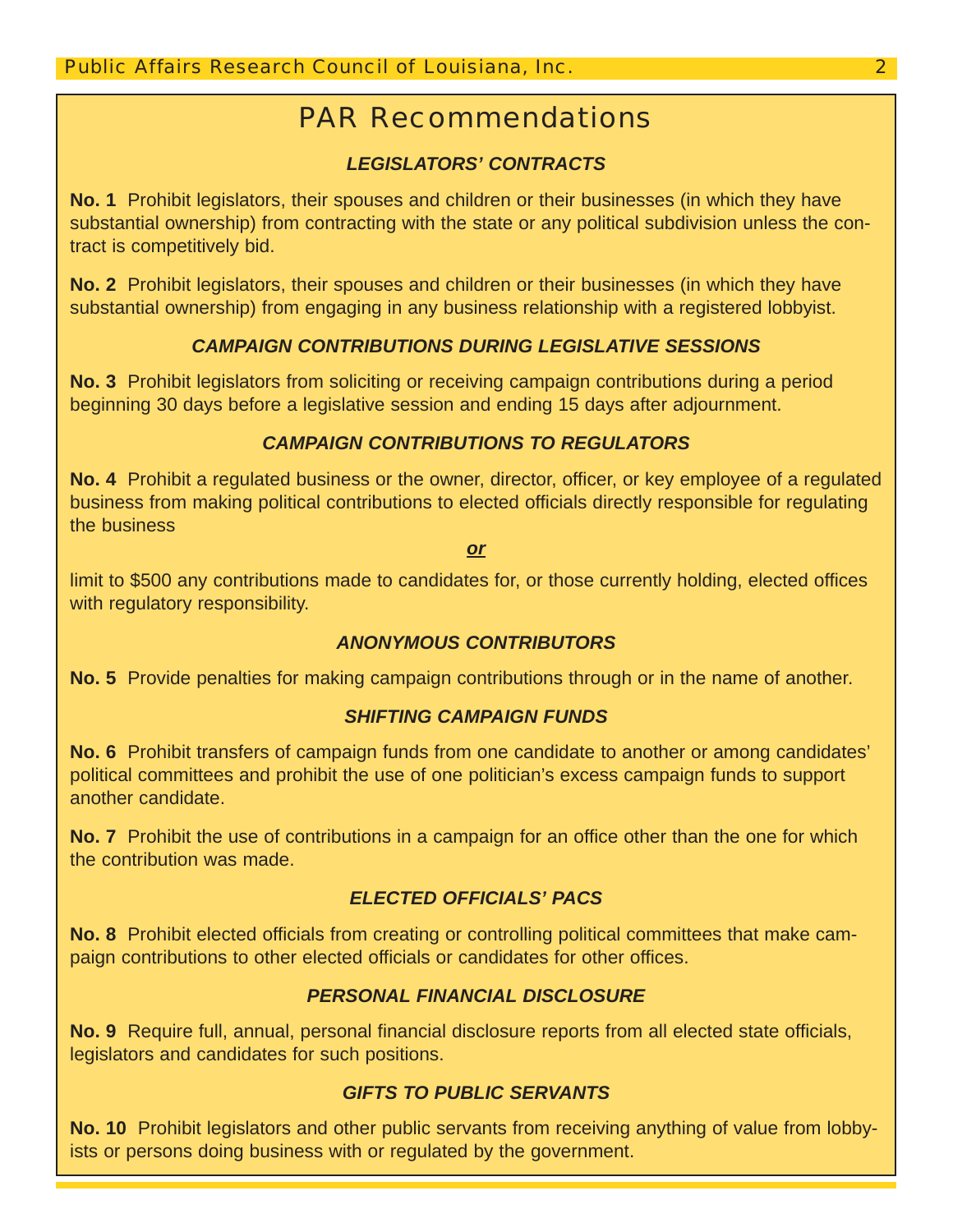# PAR Recommendations

## *LEGISLATORS' CONTRACTS*

**No. 1** Prohibit legislators, their spouses and children or their businesses (in which they have substantial ownership) from contracting with the state or any political subdivision unless the contract is competitively bid.

**No. 2** Prohibit legislators, their spouses and children or their businesses (in which they have substantial ownership) from engaging in any business relationship with a registered lobbyist.

#### *CAMPAIGN CONTRIBUTIONS DURING LEGISLATIVE SESSIONS*

**No. 3** Prohibit legislators from soliciting or receiving campaign contributions during a period beginning 30 days before a legislative session and ending 15 days after adjournment.

#### *CAMPAIGN CONTRIBUTIONS TO REGULATORS*

**No. 4** Prohibit a regulated business or the owner, director, officer, or key employee of a regulated business from making political contributions to elected officials directly responsible for regulating the business

*or*

limit to \$500 any contributions made to candidates for, or those currently holding, elected offices with regulatory responsibility.

#### *ANONYMOUS CONTRIBUTORS*

**No. 5** Provide penalties for making campaign contributions through or in the name of another.

#### *SHIFTING CAMPAIGN FUNDS*

**No. 6** Prohibit transfers of campaign funds from one candidate to another or among candidates' political committees and prohibit the use of one politician's excess campaign funds to support another candidate.

**No. 7** Prohibit the use of contributions in a campaign for an office other than the one for which the contribution was made.

#### *ELECTED OFFICIALS' PACS*

**No. 8** Prohibit elected officials from creating or controlling political committees that make campaign contributions to other elected officials or candidates for other offices.

#### *PERSONAL FINANCIAL DISCLOSURE*

**No. 9** Require full, annual, personal financial disclosure reports from all elected state officials, legislators and candidates for such positions.

#### *GIFTS TO PUBLIC SERVANTS*

**No. 10** Prohibit legislators and other public servants from receiving anything of value from lobbyists or persons doing business with or regulated by the government.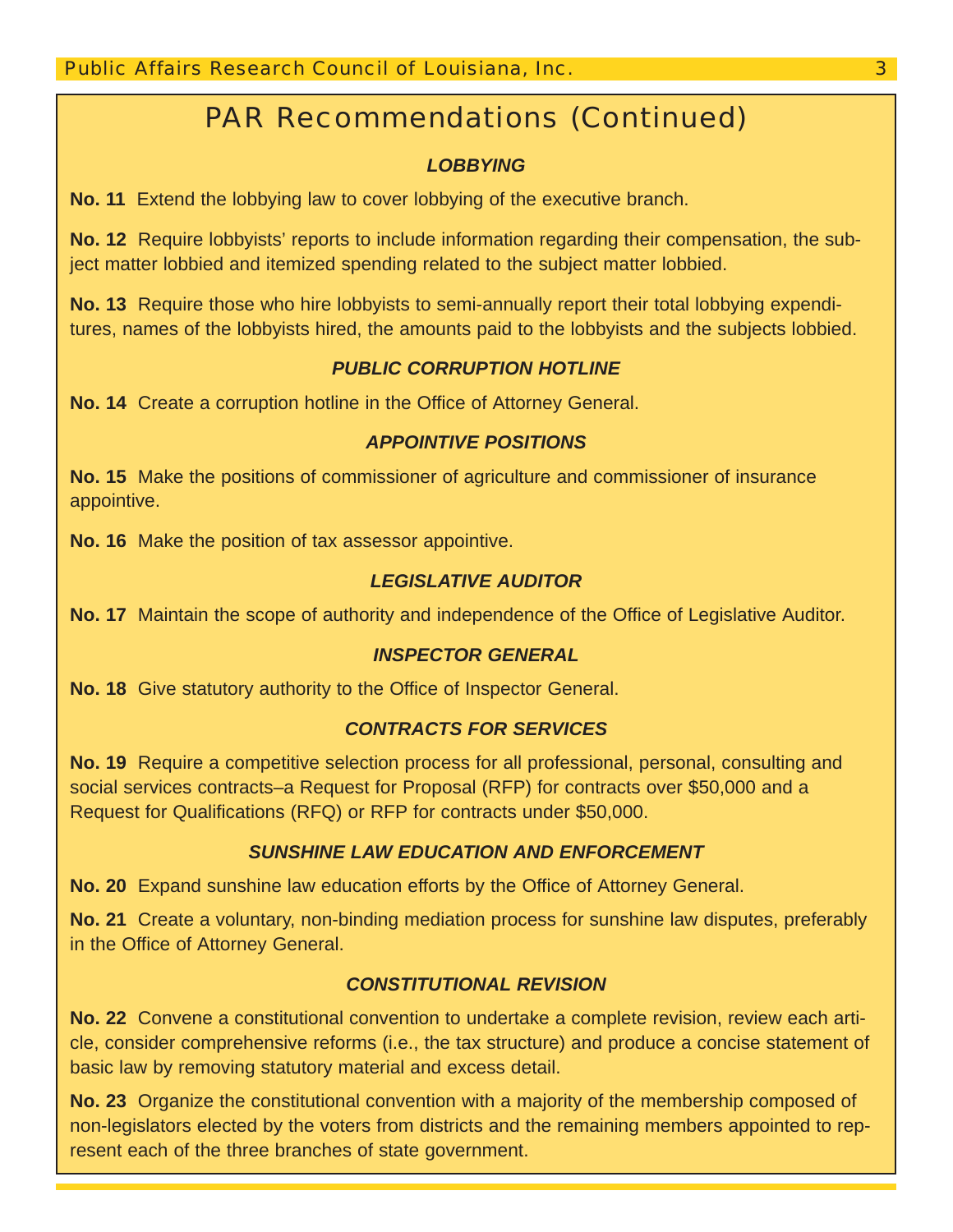# PAR Recommendations (Continued)

#### *LOBBYING*

**No. 11** Extend the lobbying law to cover lobbying of the executive branch.

**No. 12** Require lobbyists' reports to include information regarding their compensation, the subject matter lobbied and itemized spending related to the subject matter lobbied.

**No. 13** Require those who hire lobbyists to semi-annually report their total lobbying expenditures, names of the lobbyists hired, the amounts paid to the lobbyists and the subjects lobbied.

#### *PUBLIC CORRUPTION HOTLINE*

**No. 14** Create a corruption hotline in the Office of Attorney General.

#### *APPOINTIVE POSITIONS*

**No. 15** Make the positions of commissioner of agriculture and commissioner of insurance appointive.

**No. 16** Make the position of tax assessor appointive.

#### *LEGISLATIVE AUDITOR*

**No. 17** Maintain the scope of authority and independence of the Office of Legislative Auditor.

#### *INSPECTOR GENERAL*

**No. 18** Give statutory authority to the Office of Inspector General.

#### *CONTRACTS FOR SERVICES*

**No. 19** Require a competitive selection process for all professional, personal, consulting and social services contracts–a Request for Proposal (RFP) for contracts over \$50,000 and a Request for Qualifications (RFQ) or RFP for contracts under \$50,000.

#### *SUNSHINE LAW EDUCATION AND ENFORCEMENT*

**No. 20** Expand sunshine law education efforts by the Office of Attorney General.

**No. 21** Create a voluntary, non-binding mediation process for sunshine law disputes, preferably in the Office of Attorney General.

#### *CONSTITUTIONAL REVISION*

**No. 22** Convene a constitutional convention to undertake a complete revision, review each article, consider comprehensive reforms (i.e., the tax structure) and produce a concise statement of basic law by removing statutory material and excess detail.

**No. 23** Organize the constitutional convention with a majority of the membership composed of non-legislators elected by the voters from districts and the remaining members appointed to represent each of the three branches of state government.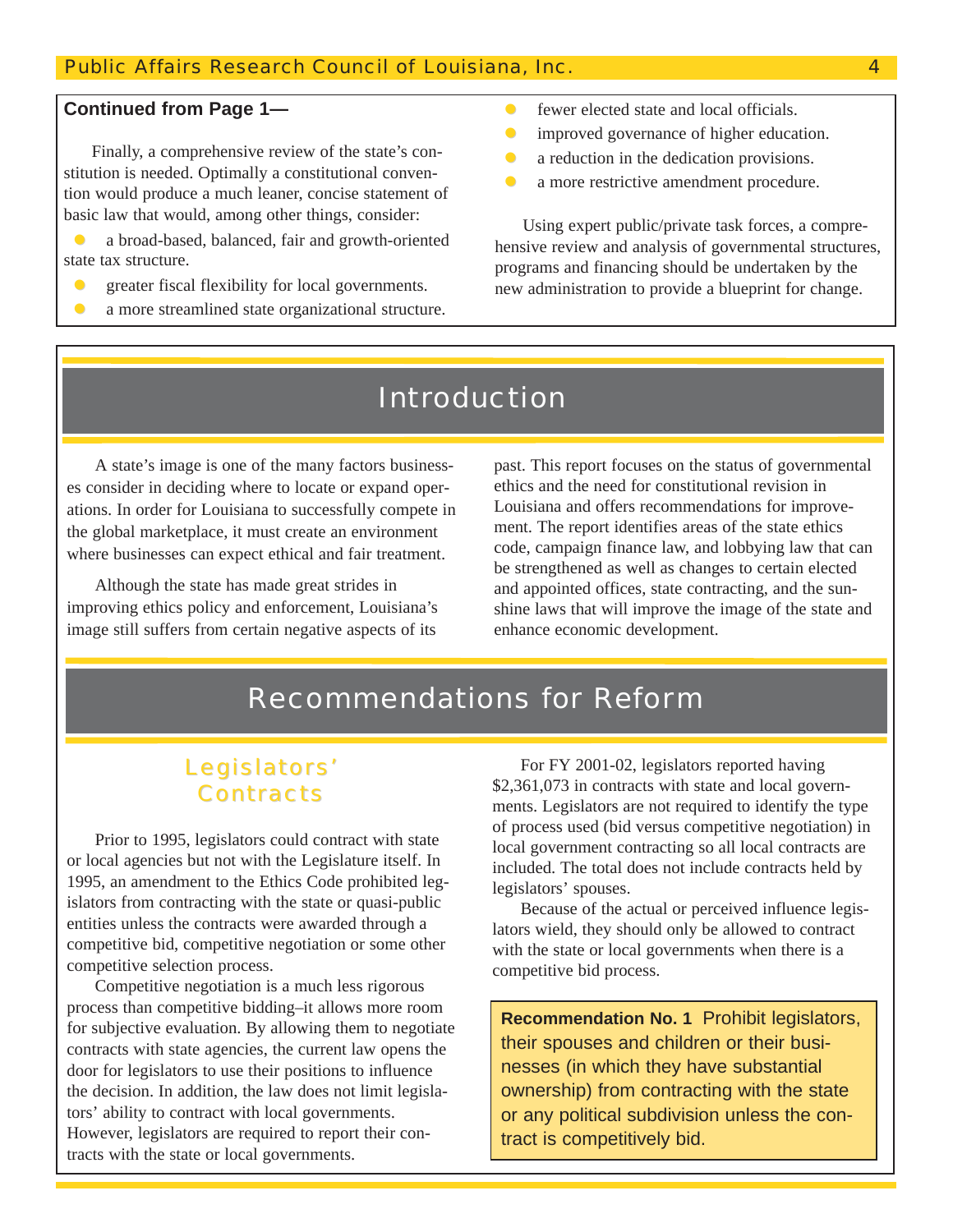#### Public Affairs Research Council of Louisiana, Inc. 4

#### **Continued from Page 1—**

Finally, a comprehensive review of the state's constitution is needed. Optimally a constitutional convention would produce a much leaner, concise statement of basic law that would, among other things, consider:

z a broad-based, balanced, fair and growth-oriented state tax structure.

- z greater fiscal flexibility for local governments.
- a more streamlined state organizational structure.
- $\bullet$  fewer elected state and local officials.
- improved governance of higher education.
- $\bullet$  a reduction in the dedication provisions.
- **a** more restrictive amendment procedure.

Using expert public/private task forces, a comprehensive review and analysis of governmental structures, programs and financing should be undertaken by the new administration to provide a blueprint for change.

# Introduction

A state's image is one of the many factors businesses consider in deciding where to locate or expand operations. In order for Louisiana to successfully compete in the global marketplace, it must create an environment where businesses can expect ethical and fair treatment.

Although the state has made great strides in improving ethics policy and enforcement, Louisiana's image still suffers from certain negative aspects of its

past. This report focuses on the status of governmental ethics and the need for constitutional revision in Louisiana and offers recommendations for improvement. The report identifies areas of the state ethics code, campaign finance law, and lobbying law that can be strengthened as well as changes to certain elected and appointed offices, state contracting, and the sunshine laws that will improve the image of the state and enhance economic development.

# Recommendations for Reform

## Legislators' **Contracts**

Prior to 1995, legislators could contract with state or local agencies but not with the Legislature itself. In 1995, an amendment to the Ethics Code prohibited legislators from contracting with the state or quasi-public entities unless the contracts were awarded through a competitive bid, competitive negotiation or some other competitive selection process.

Competitive negotiation is a much less rigorous process than competitive bidding–it allows more room for subjective evaluation. By allowing them to negotiate contracts with state agencies, the current law opens the door for legislators to use their positions to influence the decision. In addition, the law does not limit legislators' ability to contract with local governments. However, legislators are required to report their contracts with the state or local governments.

For FY 2001-02, legislators reported having \$2,361,073 in contracts with state and local governments. Legislators are not required to identify the type of process used (bid versus competitive negotiation) in local government contracting so all local contracts are included. The total does not include contracts held by legislators' spouses.

Because of the actual or perceived influence legislators wield, they should only be allowed to contract with the state or local governments when there is a competitive bid process.

**Recommendation No. 1** Prohibit legislators, their spouses and children or their businesses (in which they have substantial ownership) from contracting with the state or any political subdivision unless the contract is competitively bid.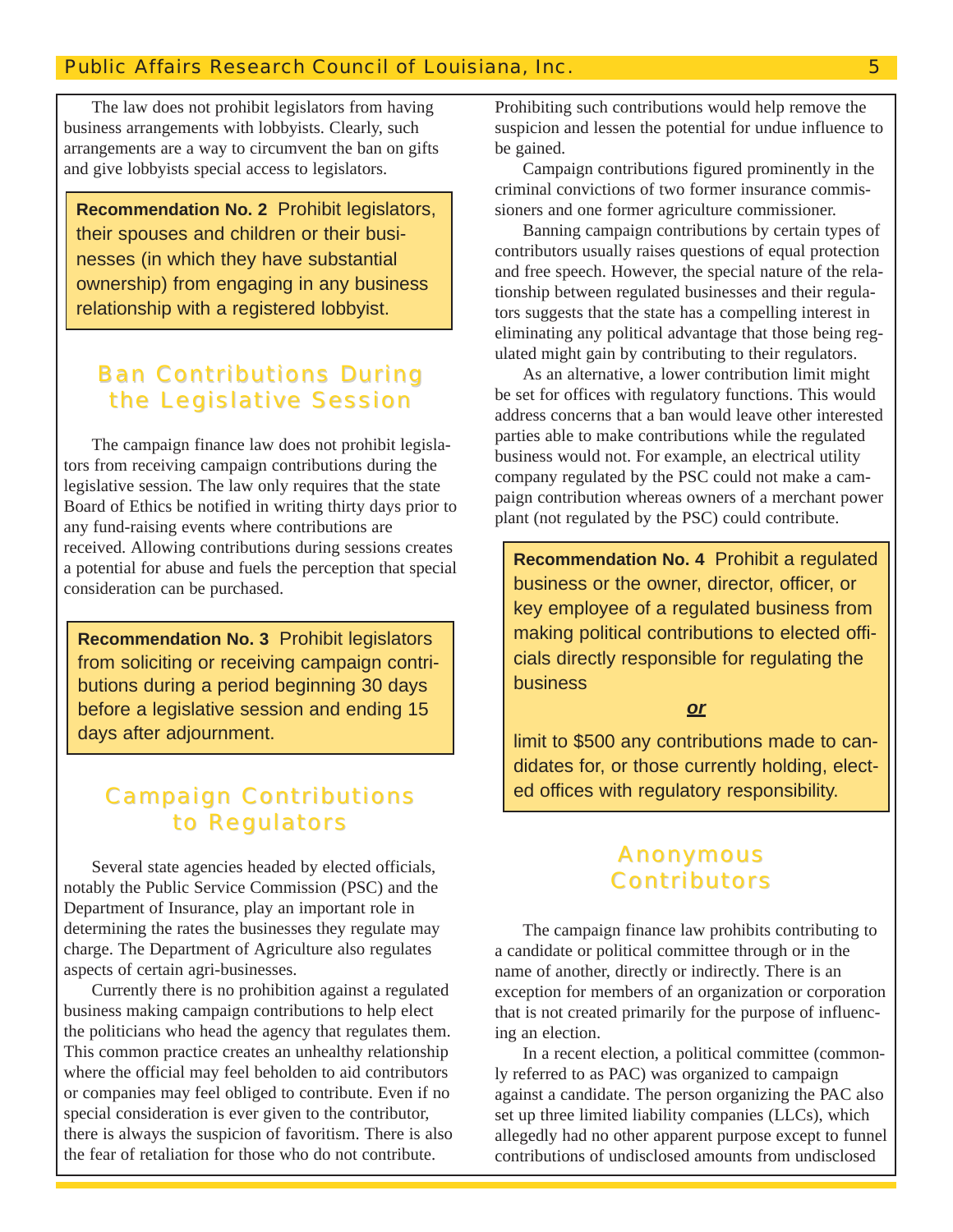The law does not prohibit legislators from having business arrangements with lobbyists. Clearly, such arrangements are a way to circumvent the ban on gifts and give lobbyists special access to legislators.

**Recommendation No. 2** Prohibit legislators, their spouses and children or their businesses (in which they have substantial ownership) from engaging in any business relationship with a registered lobbyist.

## **Ban Contributions During** the Legislative Session

The campaign finance law does not prohibit legislators from receiving campaign contributions during the legislative session. The law only requires that the state Board of Ethics be notified in writing thirty days prior to any fund-raising events where contributions are received. Allowing contributions during sessions creates a potential for abuse and fuels the perception that special consideration can be purchased.

**Recommendation No. 3** Prohibit legislators from soliciting or receiving campaign contributions during a period beginning 30 days before a legislative session and ending 15 days after adjournment.

## **Campaign Contributions** to Regulators

Several state agencies headed by elected officials, notably the Public Service Commission (PSC) and the Department of Insurance, play an important role in determining the rates the businesses they regulate may charge. The Department of Agriculture also regulates aspects of certain agri-businesses.

Currently there is no prohibition against a regulated business making campaign contributions to help elect the politicians who head the agency that regulates them. This common practice creates an unhealthy relationship where the official may feel beholden to aid contributors or companies may feel obliged to contribute. Even if no special consideration is ever given to the contributor, there is always the suspicion of favoritism. There is also the fear of retaliation for those who do not contribute.

Prohibiting such contributions would help remove the suspicion and lessen the potential for undue influence to be gained.

Campaign contributions figured prominently in the criminal convictions of two former insurance commissioners and one former agriculture commissioner.

Banning campaign contributions by certain types of contributors usually raises questions of equal protection and free speech. However, the special nature of the relationship between regulated businesses and their regulators suggests that the state has a compelling interest in eliminating any political advantage that those being regulated might gain by contributing to their regulators.

As an alternative, a lower contribution limit might be set for offices with regulatory functions. This would address concerns that a ban would leave other interested parties able to make contributions while the regulated business would not. For example, an electrical utility company regulated by the PSC could not make a campaign contribution whereas owners of a merchant power plant (not regulated by the PSC) could contribute.

**Recommendation No. 4** Prohibit a regulated business or the owner, director, officer, or key employee of a regulated business from making political contributions to elected officials directly responsible for regulating the business

*or*

limit to \$500 any contributions made to candidates for, or those currently holding, elected offices with regulatory responsibility.

#### Anonymous **Contributors**

The campaign finance law prohibits contributing to a candidate or political committee through or in the name of another, directly or indirectly. There is an exception for members of an organization or corporation that is not created primarily for the purpose of influencing an election.

In a recent election, a political committee (commonly referred to as PAC) was organized to campaign against a candidate. The person organizing the PAC also set up three limited liability companies (LLCs), which allegedly had no other apparent purpose except to funnel contributions of undisclosed amounts from undisclosed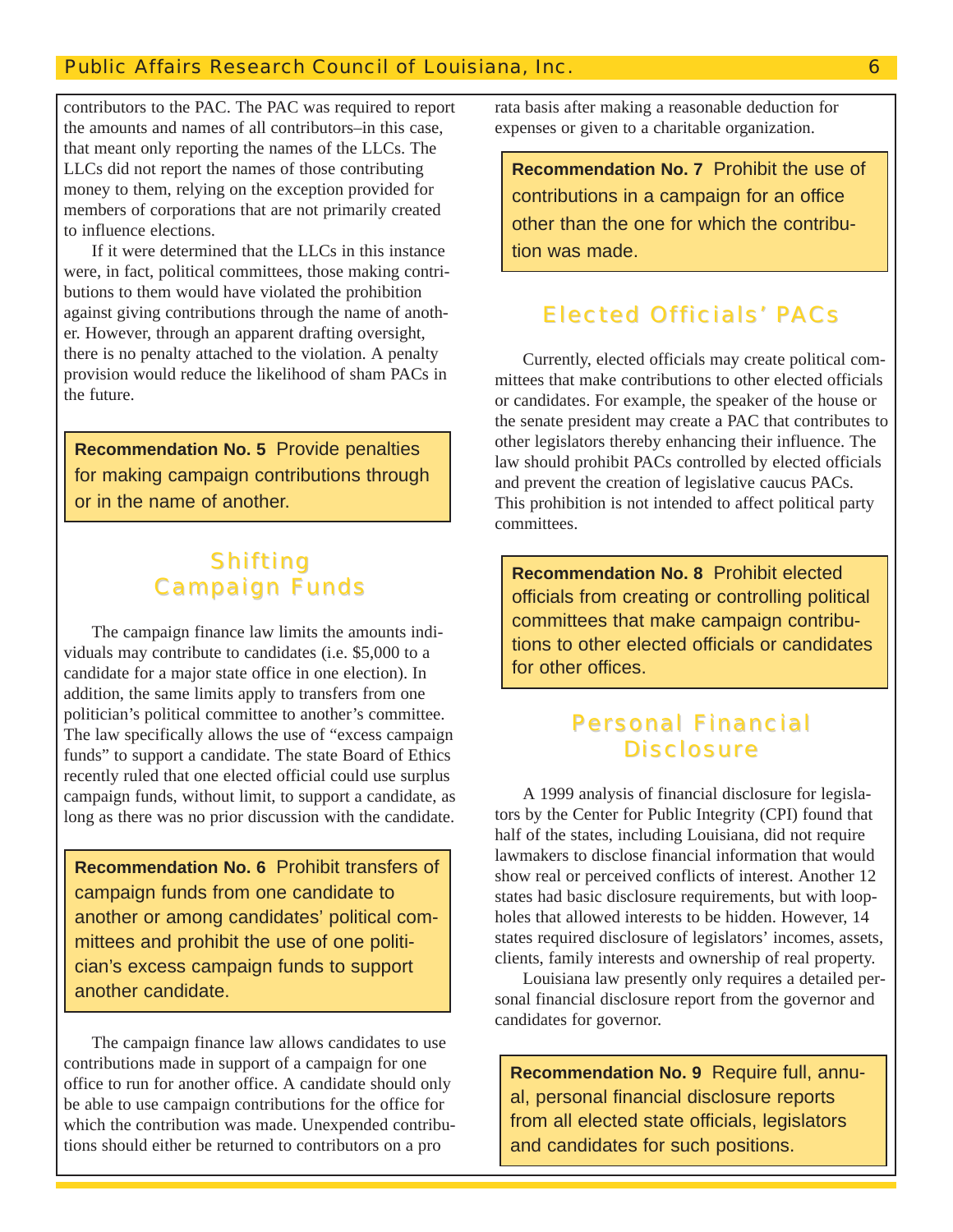#### Public Affairs Research Council of Louisiana, Inc. 6

contributors to the PAC. The PAC was required to report the amounts and names of all contributors–in this case, that meant only reporting the names of the LLCs. The LLCs did not report the names of those contributing money to them, relying on the exception provided for members of corporations that are not primarily created to influence elections.

If it were determined that the LLCs in this instance were, in fact, political committees, those making contributions to them would have violated the prohibition against giving contributions through the name of another. However, through an apparent drafting oversight, there is no penalty attached to the violation. A penalty provision would reduce the likelihood of sham PACs in the future.

**Recommendation No. 5** Provide penalties for making campaign contributions through or in the name of another.

# **Shifting Campaign Funds**

The campaign finance law limits the amounts individuals may contribute to candidates (i.e. \$5,000 to a candidate for a major state office in one election). In addition, the same limits apply to transfers from one politician's political committee to another's committee. The law specifically allows the use of "excess campaign funds" to support a candidate. The state Board of Ethics recently ruled that one elected official could use surplus campaign funds, without limit, to support a candidate, as long as there was no prior discussion with the candidate.

**Recommendation No. 6** Prohibit transfers of campaign funds from one candidate to another or among candidates' political committees and prohibit the use of one politician's excess campaign funds to support another candidate.

The campaign finance law allows candidates to use contributions made in support of a campaign for one office to run for another office. A candidate should only be able to use campaign contributions for the office for which the contribution was made. Unexpended contributions should either be returned to contributors on a pro

rata basis after making a reasonable deduction for expenses or given to a charitable organization.

**Recommendation No. 7** Prohibit the use of contributions in a campaign for an office other than the one for which the contribution was made.

#### **Elected Officials' PACs**

Currently, elected officials may create political committees that make contributions to other elected officials or candidates. For example, the speaker of the house or the senate president may create a PAC that contributes to other legislators thereby enhancing their influence. The law should prohibit PACs controlled by elected officials and prevent the creation of legislative caucus PACs. This prohibition is not intended to affect political party committees.

**Recommendation No. 8** Prohibit elected officials from creating or controlling political committees that make campaign contributions to other elected officials or candidates for other offices.

## **Personal Financial Disclosure**

A 1999 analysis of financial disclosure for legislators by the Center for Public Integrity (CPI) found that half of the states, including Louisiana, did not require lawmakers to disclose financial information that would show real or perceived conflicts of interest. Another 12 states had basic disclosure requirements, but with loopholes that allowed interests to be hidden. However, 14 states required disclosure of legislators' incomes, assets, clients, family interests and ownership of real property.

Louisiana law presently only requires a detailed personal financial disclosure report from the governor and candidates for governor.

**Recommendation No. 9** Require full, annual, personal financial disclosure reports from all elected state officials, legislators and candidates for such positions.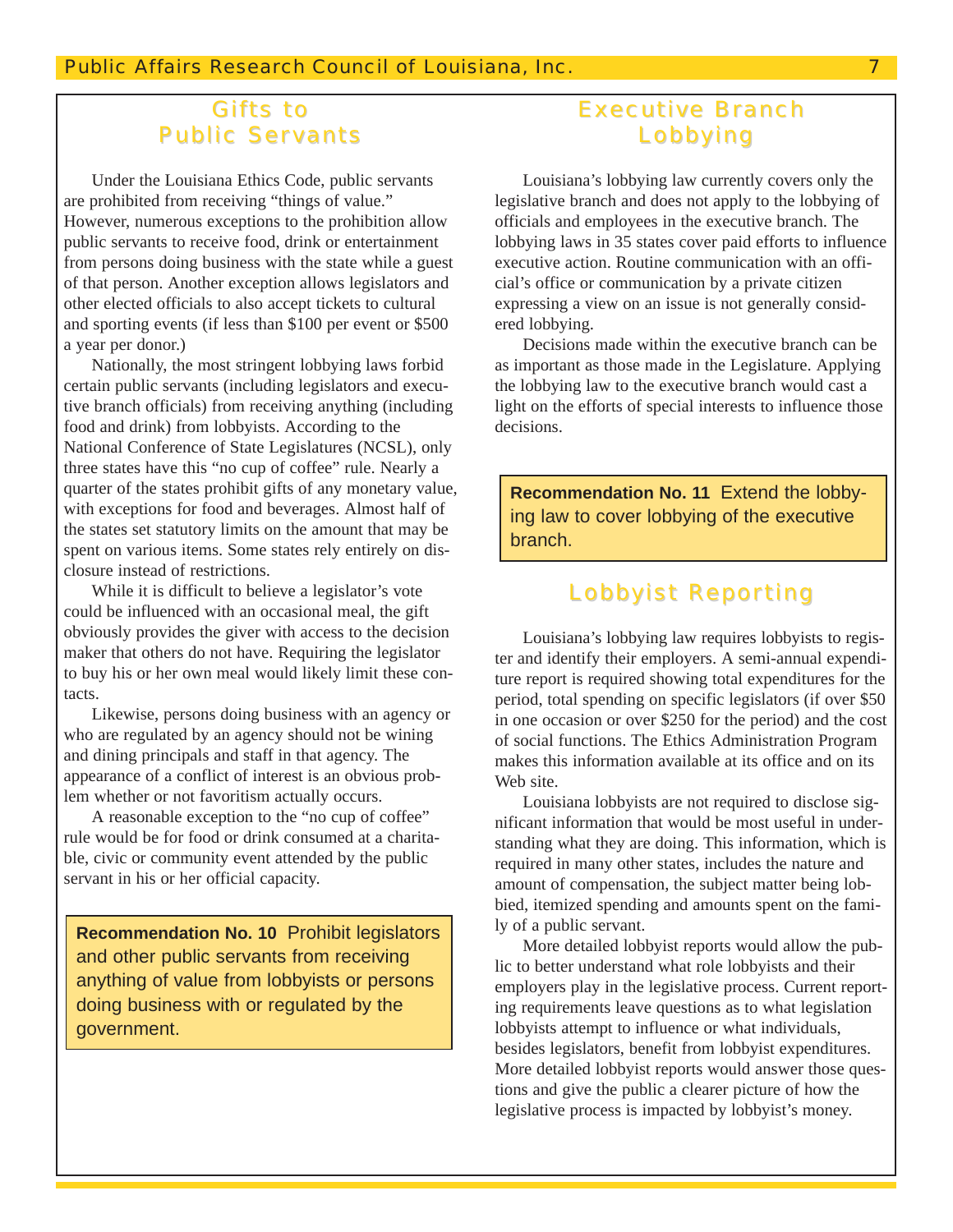#### **Gifts to Public Servants**

Under the Louisiana Ethics Code, public servants are prohibited from receiving "things of value." However, numerous exceptions to the prohibition allow public servants to receive food, drink or entertainment from persons doing business with the state while a guest of that person. Another exception allows legislators and other elected officials to also accept tickets to cultural and sporting events (if less than \$100 per event or \$500 a year per donor.)

Nationally, the most stringent lobbying laws forbid certain public servants (including legislators and executive branch officials) from receiving anything (including food and drink) from lobbyists. According to the National Conference of State Legislatures (NCSL), only three states have this "no cup of coffee" rule. Nearly a quarter of the states prohibit gifts of any monetary value, with exceptions for food and beverages. Almost half of the states set statutory limits on the amount that may be spent on various items. Some states rely entirely on disclosure instead of restrictions.

While it is difficult to believe a legislator's vote could be influenced with an occasional meal, the gift obviously provides the giver with access to the decision maker that others do not have. Requiring the legislator to buy his or her own meal would likely limit these contacts.

Likewise, persons doing business with an agency or who are regulated by an agency should not be wining and dining principals and staff in that agency. The appearance of a conflict of interest is an obvious problem whether or not favoritism actually occurs.

A reasonable exception to the "no cup of coffee" rule would be for food or drink consumed at a charitable, civic or community event attended by the public servant in his or her official capacity.

**Recommendation No. 10** Prohibit legislators and other public servants from receiving anything of value from lobbyists or persons doing business with or regulated by the government.

## Executive Branch Lobbying

Louisiana's lobbying law currently covers only the legislative branch and does not apply to the lobbying of officials and employees in the executive branch. The lobbying laws in 35 states cover paid efforts to influence executive action. Routine communication with an official's office or communication by a private citizen expressing a view on an issue is not generally considered lobbying.

Decisions made within the executive branch can be as important as those made in the Legislature. Applying the lobbying law to the executive branch would cast a light on the efforts of special interests to influence those decisions.

**Recommendation No. 11** Extend the lobbying law to cover lobbying of the executive branch.

#### Lobbyist Reporting

Louisiana's lobbying law requires lobbyists to register and identify their employers. A semi-annual expenditure report is required showing total expenditures for the period, total spending on specific legislators (if over \$50 in one occasion or over \$250 for the period) and the cost of social functions. The Ethics Administration Program makes this information available at its office and on its Web site.

Louisiana lobbyists are not required to disclose significant information that would be most useful in understanding what they are doing. This information, which is required in many other states, includes the nature and amount of compensation, the subject matter being lobbied, itemized spending and amounts spent on the family of a public servant.

More detailed lobbyist reports would allow the public to better understand what role lobbyists and their employers play in the legislative process. Current reporting requirements leave questions as to what legislation lobbyists attempt to influence or what individuals, besides legislators, benefit from lobbyist expenditures. More detailed lobbyist reports would answer those questions and give the public a clearer picture of how the legislative process is impacted by lobbyist's money.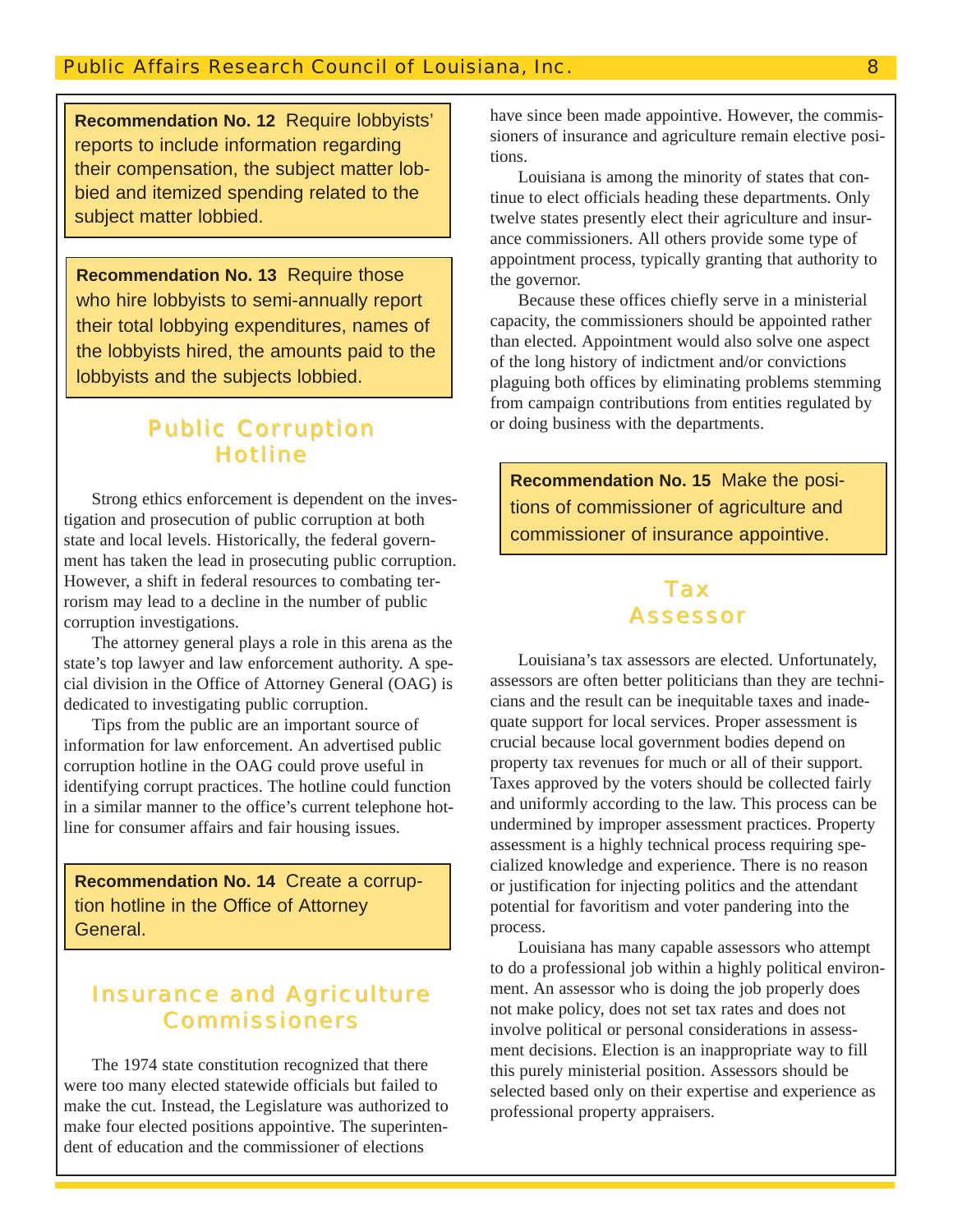**Recommendation No. 12** Require lobbyists' reports to include information regarding their compensation, the subject matter lobbied and itemized spending related to the subject matter lobbied.

**Recommendation No. 13** Require those who hire lobbyists to semi-annually report their total lobbying expenditures, names of the lobbyists hired, the amounts paid to the lobbyists and the subjects lobbied.

## **Public Corruption Hotline**

Strong ethics enforcement is dependent on the investigation and prosecution of public corruption at both state and local levels. Historically, the federal government has taken the lead in prosecuting public corruption. However, a shift in federal resources to combating terrorism may lead to a decline in the number of public corruption investigations.

The attorney general plays a role in this arena as the state's top lawyer and law enforcement authority. A special division in the Office of Attorney General (OAG) is dedicated to investigating public corruption.

Tips from the public are an important source of information for law enforcement. An advertised public corruption hotline in the OAG could prove useful in identifying corrupt practices. The hotline could function in a similar manner to the office's current telephone hotline for consumer affairs and fair housing issues.

**Recommendation No. 14** Create a corruption hotline in the Office of Attorney General.

#### **Insurance and Agriculture Commissioners**

The 1974 state constitution recognized that there were too many elected statewide officials but failed to make the cut. Instead, the Legislature was authorized to make four elected positions appointive. The superintendent of education and the commissioner of elections

have since been made appointive. However, the commissioners of insurance and agriculture remain elective positions.

Louisiana is among the minority of states that continue to elect officials heading these departments. Only twelve states presently elect their agriculture and insurance commissioners. All others provide some type of appointment process, typically granting that authority to the governor.

Because these offices chiefly serve in a ministerial capacity, the commissioners should be appointed rather than elected. Appointment would also solve one aspect of the long history of indictment and/or convictions plaguing both offices by eliminating problems stemming from campaign contributions from entities regulated by or doing business with the departments.

**Recommendation No. 15** Make the positions of commissioner of agriculture and commissioner of insurance appointive.

## Tax **Assessor**

Louisiana's tax assessors are elected. Unfortunately, assessors are often better politicians than they are technicians and the result can be inequitable taxes and inadequate support for local services. Proper assessment is crucial because local government bodies depend on property tax revenues for much or all of their support. Taxes approved by the voters should be collected fairly and uniformly according to the law. This process can be undermined by improper assessment practices. Property assessment is a highly technical process requiring specialized knowledge and experience. There is no reason or justification for injecting politics and the attendant potential for favoritism and voter pandering into the process.

Louisiana has many capable assessors who attempt to do a professional job within a highly political environment. An assessor who is doing the job properly does not make policy, does not set tax rates and does not involve political or personal considerations in assessment decisions. Election is an inappropriate way to fill this purely ministerial position. Assessors should be selected based only on their expertise and experience as professional property appraisers.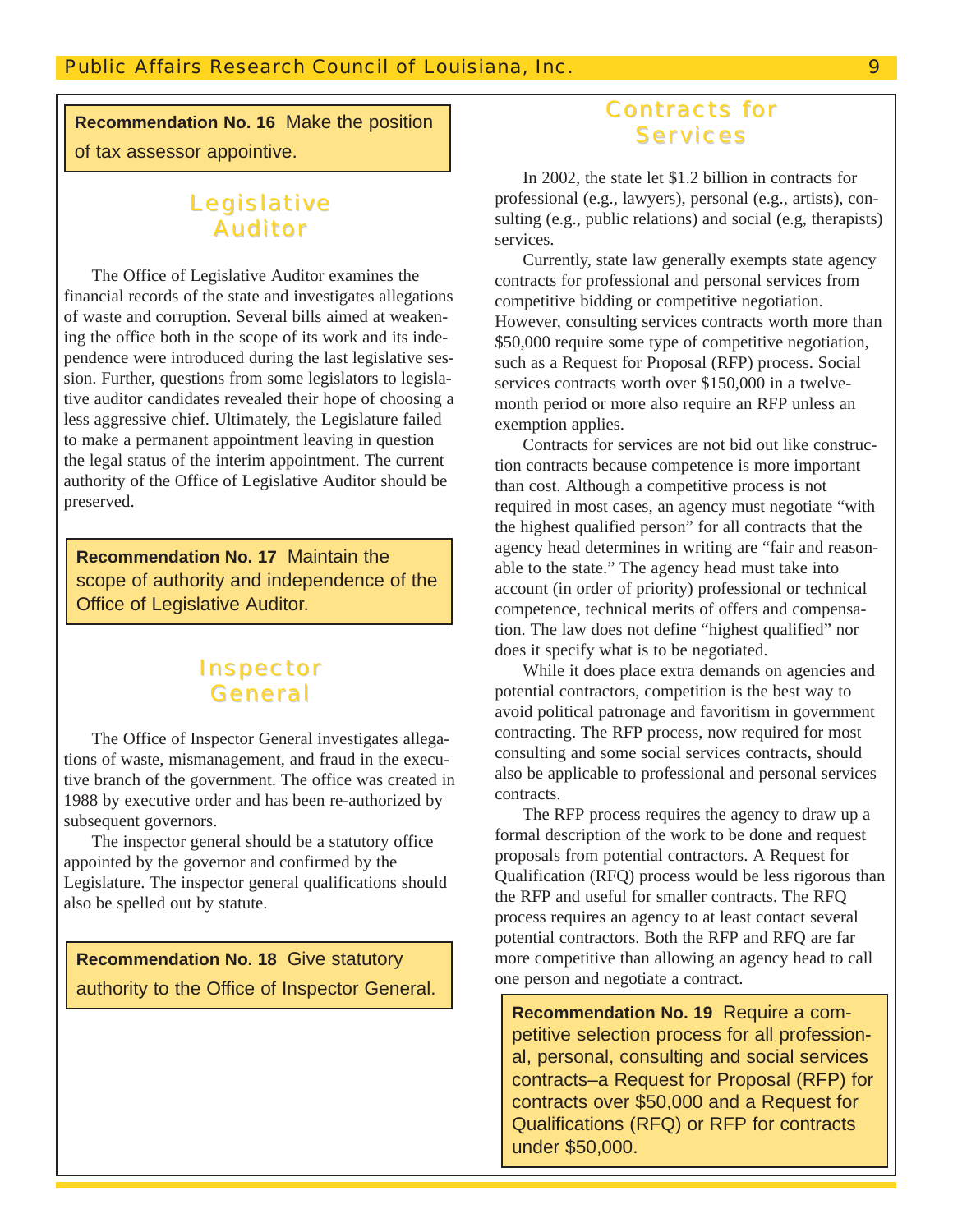**Recommendation No. 16** Make the position of tax assessor appointive.

## Legislative Auditor

The Office of Legislative Auditor examines the financial records of the state and investigates allegations of waste and corruption. Several bills aimed at weakening the office both in the scope of its work and its independence were introduced during the last legislative session. Further, questions from some legislators to legislative auditor candidates revealed their hope of choosing a less aggressive chief. Ultimately, the Legislature failed to make a permanent appointment leaving in question the legal status of the interim appointment. The current authority of the Office of Legislative Auditor should be preserved.

**Recommendation No. 17** Maintain the scope of authority and independence of the Office of Legislative Auditor.

#### **Inspector** General

The Office of Inspector General investigates allegations of waste, mismanagement, and fraud in the executive branch of the government. The office was created in 1988 by executive order and has been re-authorized by subsequent governors.

The inspector general should be a statutory office appointed by the governor and confirmed by the Legislature. The inspector general qualifications should also be spelled out by statute.

**Recommendation No. 18** Give statutory authority to the Office of Inspector General.

### Contracts for Services

In 2002, the state let \$1.2 billion in contracts for professional (e.g., lawyers), personal (e.g., artists), consulting (e.g., public relations) and social (e.g, therapists) services.

Currently, state law generally exempts state agency contracts for professional and personal services from competitive bidding or competitive negotiation. However, consulting services contracts worth more than \$50,000 require some type of competitive negotiation, such as a Request for Proposal (RFP) process. Social services contracts worth over \$150,000 in a twelvemonth period or more also require an RFP unless an exemption applies.

Contracts for services are not bid out like construction contracts because competence is more important than cost. Although a competitive process is not required in most cases, an agency must negotiate "with the highest qualified person" for all contracts that the agency head determines in writing are "fair and reasonable to the state." The agency head must take into account (in order of priority) professional or technical competence, technical merits of offers and compensation. The law does not define "highest qualified" nor does it specify what is to be negotiated.

While it does place extra demands on agencies and potential contractors, competition is the best way to avoid political patronage and favoritism in government contracting. The RFP process, now required for most consulting and some social services contracts, should also be applicable to professional and personal services contracts.

The RFP process requires the agency to draw up a formal description of the work to be done and request proposals from potential contractors. A Request for Qualification (RFQ) process would be less rigorous than the RFP and useful for smaller contracts. The RFQ process requires an agency to at least contact several potential contractors. Both the RFP and RFQ are far more competitive than allowing an agency head to call one person and negotiate a contract.

**Recommendation No. 19** Require a competitive selection process for all professional, personal, consulting and social services contracts–a Request for Proposal (RFP) for contracts over \$50,000 and a Request for Qualifications (RFQ) or RFP for contracts under \$50,000.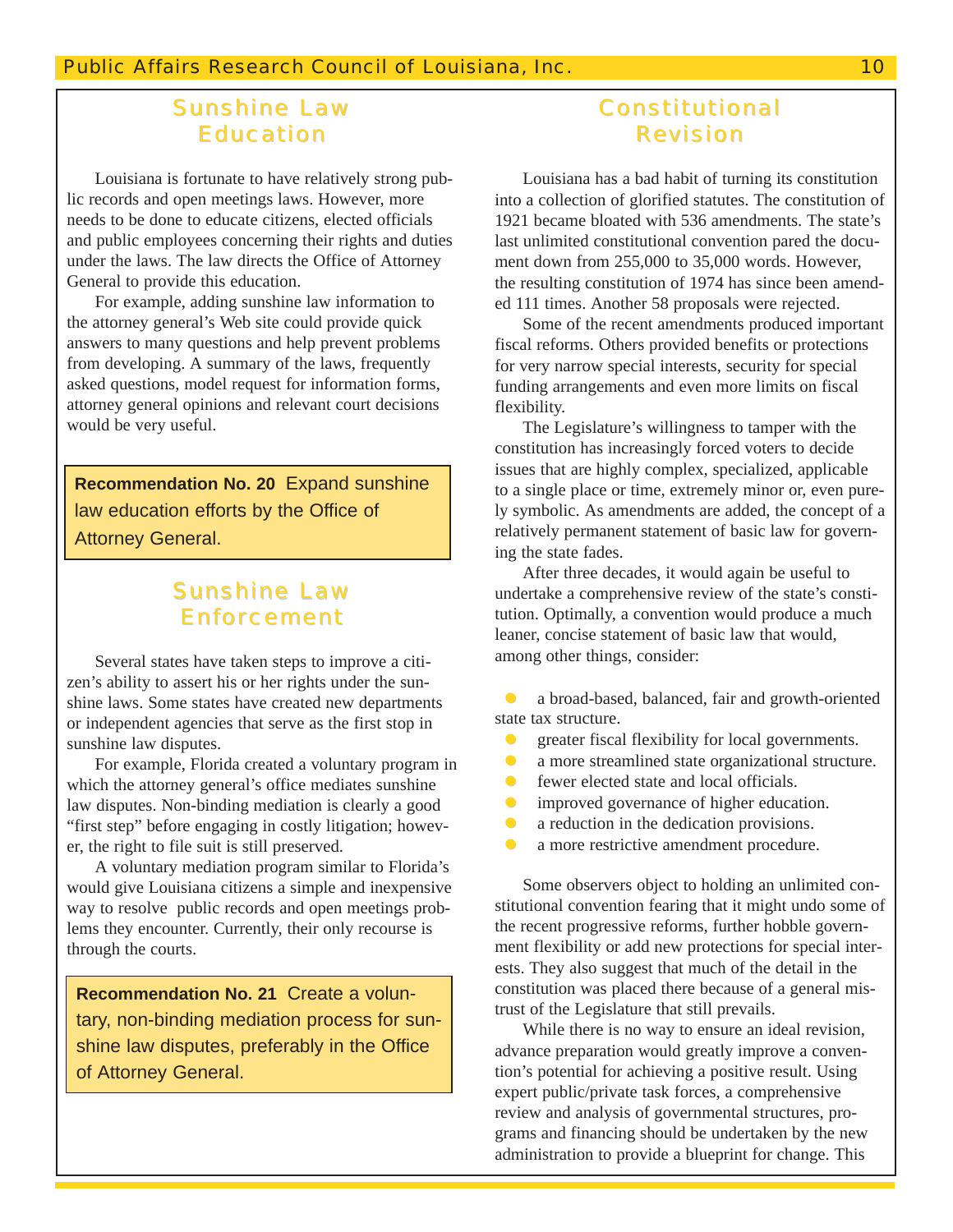#### **Sunshine Law Education**

Louisiana is fortunate to have relatively strong public records and open meetings laws. However, more needs to be done to educate citizens, elected officials and public employees concerning their rights and duties under the laws. The law directs the Office of Attorney General to provide this education.

For example, adding sunshine law information to the attorney general's Web site could provide quick answers to many questions and help prevent problems from developing. A summary of the laws, frequently asked questions, model request for information forms, attorney general opinions and relevant court decisions would be very useful.

**Recommendation No. 20** Expand sunshine law education efforts by the Office of Attorney General.

## **Sunshine Law** Enforcement

Several states have taken steps to improve a citizen's ability to assert his or her rights under the sunshine laws. Some states have created new departments or independent agencies that serve as the first stop in sunshine law disputes.

For example, Florida created a voluntary program in which the attorney general's office mediates sunshine law disputes. Non-binding mediation is clearly a good "first step" before engaging in costly litigation; however, the right to file suit is still preserved.

A voluntary mediation program similar to Florida's would give Louisiana citizens a simple and inexpensive way to resolve public records and open meetings problems they encounter. Currently, their only recourse is through the courts.

**Recommendation No. 21** Create a voluntary, non-binding mediation process for sunshine law disputes, preferably in the Office of Attorney General.

#### **Constitutional** Revision

Louisiana has a bad habit of turning its constitution into a collection of glorified statutes. The constitution of 1921 became bloated with 536 amendments. The state's last unlimited constitutional convention pared the document down from 255,000 to 35,000 words. However, the resulting constitution of 1974 has since been amended 111 times. Another 58 proposals were rejected.

Some of the recent amendments produced important fiscal reforms. Others provided benefits or protections for very narrow special interests, security for special funding arrangements and even more limits on fiscal flexibility.

The Legislature's willingness to tamper with the constitution has increasingly forced voters to decide issues that are highly complex, specialized, applicable to a single place or time, extremely minor or, even purely symbolic. As amendments are added, the concept of a relatively permanent statement of basic law for governing the state fades.

After three decades, it would again be useful to undertake a comprehensive review of the state's constitution. Optimally, a convention would produce a much leaner, concise statement of basic law that would, among other things, consider:

z a broad-based, balanced, fair and growth-oriented state tax structure.

- $\bullet$  greater fiscal flexibility for local governments.
- a more streamlined state organizational structure.
- $\bullet$  fewer elected state and local officials.
- improved governance of higher education.
- a reduction in the dedication provisions.
- a more restrictive amendment procedure.

Some observers object to holding an unlimited constitutional convention fearing that it might undo some of the recent progressive reforms, further hobble government flexibility or add new protections for special interests. They also suggest that much of the detail in the constitution was placed there because of a general mistrust of the Legislature that still prevails.

While there is no way to ensure an ideal revision, advance preparation would greatly improve a convention's potential for achieving a positive result. Using expert public/private task forces, a comprehensive review and analysis of governmental structures, programs and financing should be undertaken by the new administration to provide a blueprint for change. This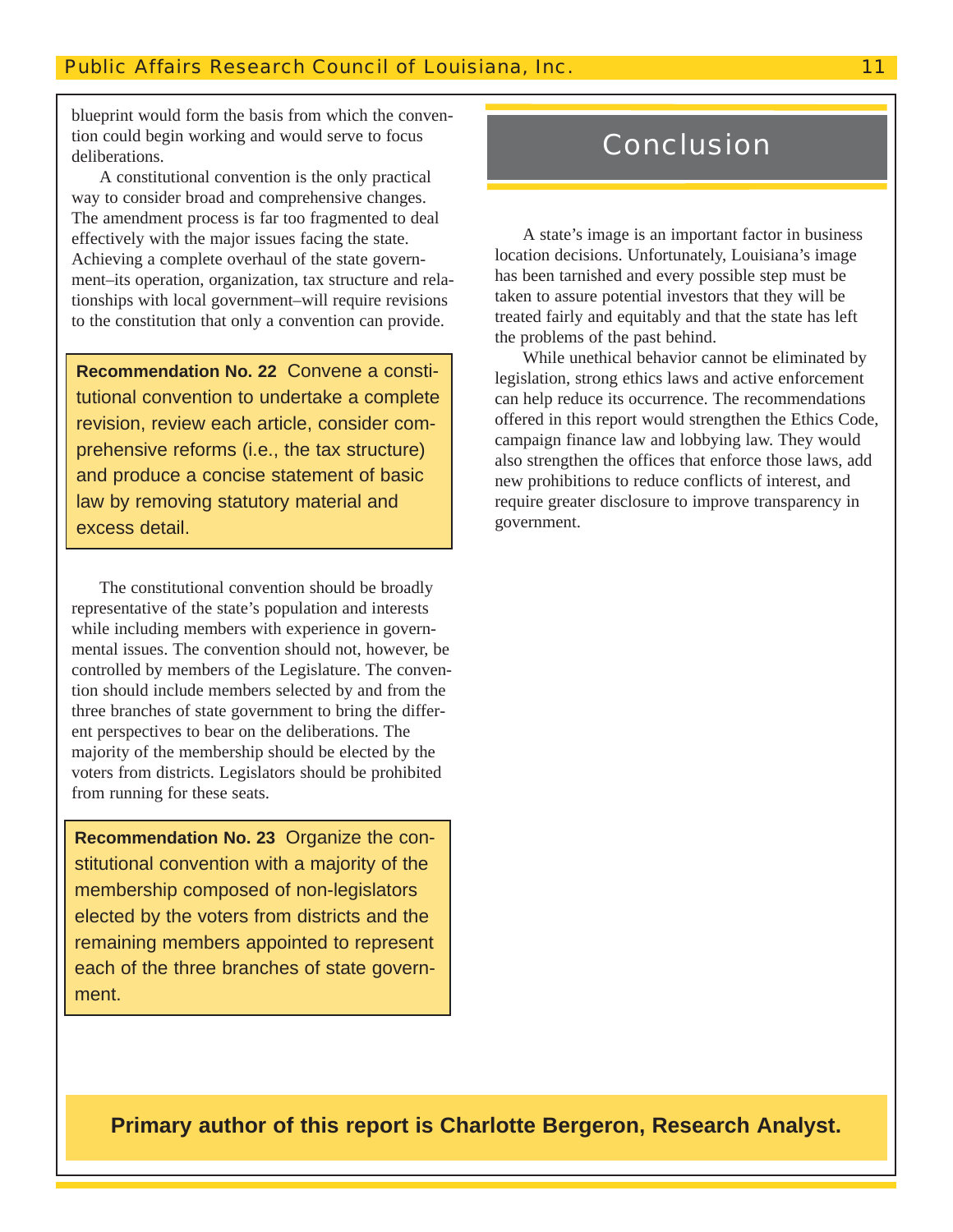blueprint would form the basis from which the convention could begin working and would serve to focus deliberations.

A constitutional convention is the only practical way to consider broad and comprehensive changes. The amendment process is far too fragmented to deal effectively with the major issues facing the state. Achieving a complete overhaul of the state government–its operation, organization, tax structure and relationships with local government–will require revisions to the constitution that only a convention can provide.

**Recommendation No. 22** Convene a constitutional convention to undertake a complete revision, review each article, consider comprehensive reforms (i.e., the tax structure) and produce a concise statement of basic law by removing statutory material and excess detail.

The constitutional convention should be broadly representative of the state's population and interests while including members with experience in governmental issues. The convention should not, however, be controlled by members of the Legislature. The convention should include members selected by and from the three branches of state government to bring the different perspectives to bear on the deliberations. The majority of the membership should be elected by the voters from districts. Legislators should be prohibited from running for these seats.

**Recommendation No. 23** Organize the constitutional convention with a majority of the membership composed of non-legislators elected by the voters from districts and the remaining members appointed to represent each of the three branches of state government.

# Conclusion

A state's image is an important factor in business location decisions. Unfortunately, Louisiana's image has been tarnished and every possible step must be taken to assure potential investors that they will be treated fairly and equitably and that the state has left the problems of the past behind.

While unethical behavior cannot be eliminated by legislation, strong ethics laws and active enforcement can help reduce its occurrence. The recommendations offered in this report would strengthen the Ethics Code, campaign finance law and lobbying law. They would also strengthen the offices that enforce those laws, add new prohibitions to reduce conflicts of interest, and require greater disclosure to improve transparency in government.

**Primary author of this report is Charlotte Bergeron, Research Analyst.**